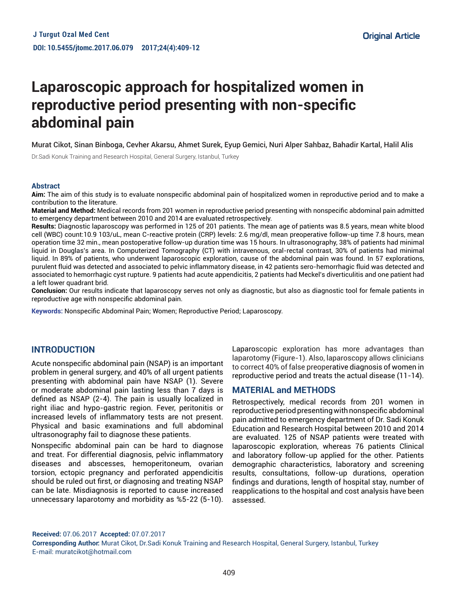# **Laparoscopic approach for hospitalized women in reproductive period presenting with non-specific abdominal pain**

Murat Cikot, Sinan Binboga, Cevher Akarsu, Ahmet Surek, Eyup Gemici, Nuri Alper Sahbaz, Bahadir Kartal, Halil Alis

Dr.Sadi Konuk Training and Research Hospital, General Surgery, Istanbul, Turkey

#### **Abstract**

**Aim:** The aim of this study is to evaluate nonspecific abdominal pain of hospitalized women in reproductive period and to make a contribution to the literature.

**Material and Method:** Medical records from 201 women in reproductive period presenting with nonspecific abdominal pain admitted to emergency department between 2010 and 2014 are evaluated retrospectively.

**Results:** Diagnostic laparoscopy was performed in 125 of 201 patients. The mean age of patients was 8.5 years, mean white blood cell (WBC) count:10.9 103/uL, mean C-reactive protein (CRP) levels: 2.6 mg/dl, mean preoperative follow-up time 7.8 hours, mean operation time 32 min., mean postoperative follow-up duration time was 15 hours. In ultrasonography, 38% of patients had minimal liquid in Douglas's area. In Computerized Tomography (CT) with intravenous, oral-rectal contrast, 30% of patients had minimal liquid. In 89% of patients, who underwent laparoscopic exploration, cause of the abdominal pain was found. In 57 explorations, purulent fluid was detected and associated to pelvic inflammatory disease, in 42 patients sero-hemorrhagic fluid was detected and associated to hemorrhagic cyst rupture. 9 patients had acute appendicitis, 2 patients had Meckel's diverticulitis and one patient had a left lower quadrant brid.

Conclusion: Our results indicate that laparoscopy serves not only as diagnostic, but also as diagnostic tool for female patients in reproductive age with nonspecific abdominal pain.

**Keywords:** Nonspecific Abdominal Pain; Women; Reproductive Period; Laparoscopy.

### **INTRODUCTION**

Acute nonspecific abdominal pain (NSAP) is an important problem in general surgery, and 40% of all urgent patients presenting with abdominal pain have NSAP (1). Severe or moderate abdominal pain lasting less than 7 days is defined as NSAP (2-4). The pain is usually localized in right iliac and hypo-gastric region. Fever, peritonitis or increased levels of inflammatory tests are not present. Physical and basic examinations and full abdominal ultrasonography fail to diagnose these patients.

Nonspecific abdominal pain can be hard to diagnose and treat. For differential diagnosis, pelvic inflammatory diseases and abscesses, hemoperitoneum, ovarian torsion, ectopic pregnancy and perforated appendicitis should be ruled out first, or diagnosing and treating NSAP can be late. Misdiagnosis is reported to cause increased unnecessary laparotomy and morbidity as %5-22 (5-10).

Laparoscopic exploration has more advantages than laparotomy (Figure-1). Also, laparoscopy allows clinicians to correct 40% of false preoperative diagnosis of women in reproductive period and treats the actual disease (11-14).

## **MATERIAL and METHODS**

Retrospectively, medical records from 201 women in reproductive period presenting with nonspecific abdominal pain admitted to emergency department of Dr. Sadi Konuk Education and Research Hospital between 2010 and 2014 are evaluated. 125 of NSAP patients were treated with laparoscopic exploration, whereas 76 patients Clinical and laboratory follow-up applied for the other. Patients demographic characteristics, laboratory and screening results, consultations, follow-up durations, operation findings and durations, length of hospital stay, number of reapplications to the hospital and cost analysis have been assessed.

**Received:** 07.06.2017 **Accepted:** 07.07.2017

**Corresponding Author:** Murat Cikot, Dr.Sadi Konuk Training and Research Hospital, General Surgery, Istanbul, Turkey E-mail: muratcikot@hotmail.com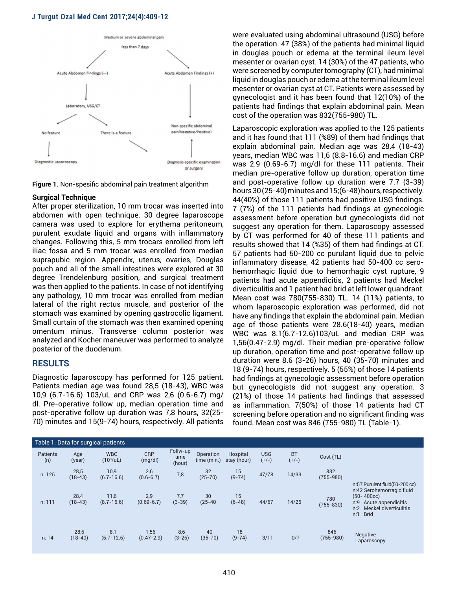#### **J Turgut Ozal Med Cent 2017;24(4):409-12**



**Figure 1.** Non-spesific abdominal pain treatment algorithm

#### **Surgical Technique**

After proper sterilization, 10 mm trocar was inserted into abdomen with open technique. 30 degree laparoscope camera was used to explore for erythema peritoneum, purulent exudate liquid and organs with inflammatory changes. Following this, 5 mm trocars enrolled from left iliac fossa and 5 mm trocar was enrolled from median suprapubic region. Appendix, uterus, ovaries, Douglas pouch and all of the small intestines were explored at 30 degree Trendelenburg position, and surgical treatment was then applied to the patients. In case of not identifying any pathology, 10 mm trocar was enrolled from median lateral of the right rectus muscle, and posterior of the stomach was examined by opening gastrocolic ligament. Small curtain of the stomach was then examined opening omentum minus. Transverse column posterior was analyzed and Kocher maneuver was performed to analyze posterior of the duodenum.

#### **RESULTS**

Diagnostic laparoscopy has performed for 125 patient. Patients median age was found 28,5 (18-43), WBC was 10,9 (6.7-16.6) 103/uL and CRP was 2,6 (0.6-6.7) mg/ dl. Pre-operative follow up, median operation time and post-operative follow up duration was 7,8 hours, 32(25- 70) minutes and 15(9-74) hours, respectively. All patients

were evaluated using abdominal ultrasound (USG) before the operation. 47 (38%) of the patients had minimal liquid in douglas pouch or edema at the terminal ileum level mesenter or ovarian cyst. 14 (30%) of the 47 patients, who were screened by computer tomography (CT), had minimal liquid in douglas pouch or edema at the terminal ileum level mesenter or ovarian cyst at CT. Patients were assessed by gynecologist and it has been found that 12(10%) of the patients had findings that explain abdominal pain. Mean cost of the operation was 832(755-980) TL.

Laparoscopic exploration was applied to the 125 patients and it has found that 111 (%89) of them had findings that explain abdominal pain. Median age was 28,4 (18-43) years, median WBC was 11,6 (8.8-16.6) and median CRP was 2.9 (0.69-6.7) mg/dl for these 111 patients. Their median pre-operative follow up duration, operation time and post-operative follow up duration were 7.7 (3-39) hours 30 (25-40) minutes and 15;(6-48) hours, respectively. 44(40%) of those 111 patients had positive USG findings. 7 (7%) of the 111 patients had findings at gynecologic assessment before operation but gynecologists did not suggest any operation for them. Laparoscopy assessed by CT was performed for 40 of these 111 patients and results showed that 14 (%35) of them had findings at CT. 57 patients had 50-200 cc purulant liquid due to pelvic inflammatory disease, 42 patients had 50-400 cc serohemorrhagic liquid due to hemorrhagic cyst rupture, 9 patients had acute appendicitis, 2 patients had Meckel diverticulitis and 1 patient had brid at left lower quandrant. Mean cost was 780(755-830) TL. 14 (11%) patients, to whom laparoscopic exploration was performed, did not have any findings that explain the abdominal pain. Median age of those patients were 28.6(18-40) years, median WBC was 8.1(6.7-12.6)103/uL and median CRP was 1,56(0.47-2.9) mg/dl. Their median pre-operative follow up duration, operation time and post-operative follow up duration were 8.6 (3-26) hours, 40 (35-70) minutes and 18 (9-74) hours, respectively. 5 (55%) of those 14 patients had findings at gynecologic assessment before operation but gynecologists did not suggest any operation. 3 (21%) of those 14 patients had findings that assessed as inflammation. 7(50%) of those 14 patients had CT screening before operation and no significant finding was found. Mean cost was 846 (755-980) TL (Table-1).

| Table 1. Data for surgical patients |                   |                                  |                        |                            |                                |                         |                       |                      |                      |                                                                                                                                                                  |
|-------------------------------------|-------------------|----------------------------------|------------------------|----------------------------|--------------------------------|-------------------------|-----------------------|----------------------|----------------------|------------------------------------------------------------------------------------------------------------------------------------------------------------------|
| Patients<br>(n)                     | Age<br>(year)     | <b>WBC</b><br>$(10^3/\text{uL})$ | <b>CRP</b><br>(mg/dl)  | Follw-up<br>time<br>(hour) | Operation<br>time (min.)       | Hospital<br>stay (hour) | <b>USG</b><br>$(+/-)$ | <b>BT</b><br>$(+/-)$ | Cost (TL)            |                                                                                                                                                                  |
| n: 125                              | 28,5<br>$(18-43)$ | 10,9<br>$(6.7 - 16.6)$           | 2,6<br>$(0.6 - 6.7)$   | 7,8                        | 32<br>$(25-70)$                | 15<br>$(9-74)$          | 47/78                 | 14/33                | 832<br>$(755 - 980)$ |                                                                                                                                                                  |
| n: 111                              | 28,4<br>$(18-43)$ | 11,6<br>$(8.7 - 16.6)$           | 2,9<br>$(0.69 - 6.7)$  | 7,7<br>$(3-39)$            | 30 <sup>°</sup><br>$(25 - 40)$ | 15<br>$(6-48)$          | 44/67                 | 14/26                | 780<br>$(755 - 830)$ | n:57 Purulent fluid(50-200 cc)<br>n:42 Serohemorragic fluid<br>$(50 - 400cc)$<br>Acute appendicitis<br>n:9<br>Meckel diverticulitis<br>n:2<br><b>Brid</b><br>n:1 |
| n: 14                               | 28,6<br>$(18-40)$ | 8,1<br>$(6.7 - 12.6)$            | 1,56<br>$(0.47 - 2.9)$ | 8,6<br>$(3-26)$            | 40<br>$(35 - 70)$              | 18<br>$(9-74)$          | 3/11                  | 0/7                  | 846<br>$(755 - 980)$ | <b>Negative</b><br>Laparoscopy                                                                                                                                   |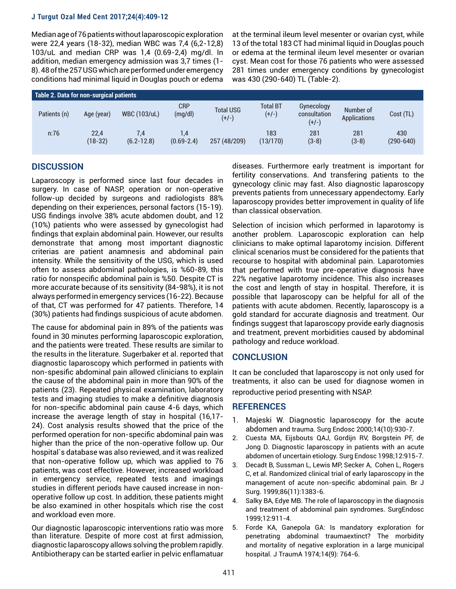#### **J Turgut Ozal Med Cent 2017;24(4):409-12**

Median age of 76 patients without laparoscopic exploration were 22,4 years (18-32), median WBC was 7,4 (6,2-12,8) 103/uL and median CRP was 1,4 (0.69-2,4) mg/dl. In addition, median emergency admission was 3,7 times (1- 8). 48 of the 257 USG which are performed under emergency conditions had minimal liquid in Douglas pouch or edema at the terminal ileum level mesenter or ovarian cyst, while 13 of the total 183 CT had minimal liquid in Douglas pouch or edema at the terminal ileum level mesenter or ovarian cyst. Mean cost for those 76 patients who were assessed 281 times under emergency conditions by gynecologist was 430 (290-640) TL (Table-2).

| Table 2. Data for non-surgical patients |                 |                       |                       |                             |                            |                                       |                                  |                      |  |  |  |
|-----------------------------------------|-----------------|-----------------------|-----------------------|-----------------------------|----------------------------|---------------------------------------|----------------------------------|----------------------|--|--|--|
| Patients (n)                            | Age (year)      | <b>WBC (103/uL)</b>   | <b>CRP</b><br>(mg/dl) | <b>Total USG</b><br>$(+/-)$ | <b>Total BT</b><br>$(+/-)$ | Gynecology<br>consultation<br>$(+/-)$ | Number of<br><b>Applications</b> | Cost (TL)            |  |  |  |
| n:76                                    | 22,4<br>(18-32) | 7.4<br>$(6.2 - 12.8)$ | 1.4<br>$(0.69 - 2.4)$ | 257 (48/209)                | 183<br>(13/170)            | 281<br>$(3-8)$                        | 281<br>$(3-8)$                   | 430<br>$(290 - 640)$ |  |  |  |

## **DISCUSSION**

Laparoscopy is performed since last four decades in surgery. In case of NASP, operation or non-operative follow-up decided by surgeons and radiologists 88% depending on their experiences, personal factors (15-19). USG findings involve 38% acute abdomen doubt, and 12 (10%) patients who were assessed by gynecologist had findings that explain abdominal pain. However, our results demonstrate that among most important diagnostic criterias are patient anamnesis and abdominal pain intensity. While the sensitivity of the USG, which is used often to assess abdominal pathologies, is %60-89, this ratio for nonspecific abdominal pain is %50. Despite CT is more accurate because of its sensitivity (84-98%), it is not always performed in emergency services (16-22). Because of that, CT was performed for 47 patients. Therefore, 14 (30%) patients had findings suspicious of acute abdomen.

The cause for abdominal pain in 89% of the patients was found in 30 minutes performing laparoscopic exploration, and the patients were treated. These results are similar to the results in the literature. Sugerbaker et al. reported that diagnostic laparoscopy which performed in patients with non-spesific abdominal pain allowed clinicians to explain the cause of the abdominal pain in more than 90% of the patients (23). Repeated physical examination, laboratory tests and imaging studies to make a definitive diagnosis for non-specific abdominal pain cause 4-6 days, which increase the average length of stay in hospital (16,17- 24). Cost analysis results showed that the price of the performed operation for non-specific abdominal pain was higher than the price of the non-operative follow up. Our hospital`s database was also reviewed, and it was realized that non-operative follow up, which was applied to 76 patients, was cost effective. However, increased workload in emergency service, repeated tests and imagings studies in different periods have caused increase in nonoperative follow up cost. In addition, these patients might be also examined in other hospitals which rise the cost and workload even more.

Our diagnostic laparoscopic interventions ratio was more than literature. Despite of more cost at first admission, diagnostic laparoscopy allows solving the problem rapidly. Antibiotherapy can be started earlier in pelvic enflamatuar

diseases. Furthermore early treatment is important for fertility conservations. And transfering patients to the gynecology clinic may fast. Also diagnostic laparoscopy prevents patients from unnecessary appendectomy. Early laparoscopy provides better improvement in quality of life than classical observation.

Selection of incision which performed in laparotomy is another problem. Laparoscopic exploration can help clinicians to make optimal laparotomy incision. Different clinical scenarios must be considered for the patients that recourse to hospital with abdominal pain. Laparotomies that performed with true pre-operative diagnosis have 22% negative laparotomy incidence. This also increases the cost and length of stay in hospital. Therefore, it is possible that laparoscopy can be helpful for all of the patients with acute abdomen. Recently, laparoscopy is a gold standard for accurate diagnosis and treatment. Our findings suggest that laparoscopy provide early diagnosis and treatment, prevent morbidities caused by abdominal pathology and reduce workload.

## **CONCLUSION**

It can be concluded that laparoscopy is not only used for treatments, it also can be used for diagnose women in reproductive period presenting with NSAP.

## **REFERENCES**

- 1. Majeski W. Diagnostic laparoscopy for the acute abdomen and trauma. Surg Endosc 2000;14(10):930-7.
- 2. Cuesta MA, Eijsbouts QAJ, Gordijn RV, Borgstein PF, de Jong D. Diagnostic laparoscopy in patients with an acute abdomen of uncertain etiology. Surg Endosc 1998;12:915-7.
- 3. Decadt B, Sussman L, Lewis MP, Secker A, Cohen L, Rogers C, et al. Randomized clinical trial of early laparoscopy in the management of acute non-specific abdominal pain. Br J Surg. 1999;86(11):1383-6.
- 4. Salky BA, Edye MB. The role of laparoscopy in the diagnosis and treatment of abdominal pain syndromes. SurgEndosc 1999;12:911-4.
- 5. Forde KA, Ganepola GA: Is mandatory exploration for penetrating abdominal traumaextinct? The morbidity and mortality of negative exploration in a large municipal hospital. J TraumA 1974;14(9): 764-6.